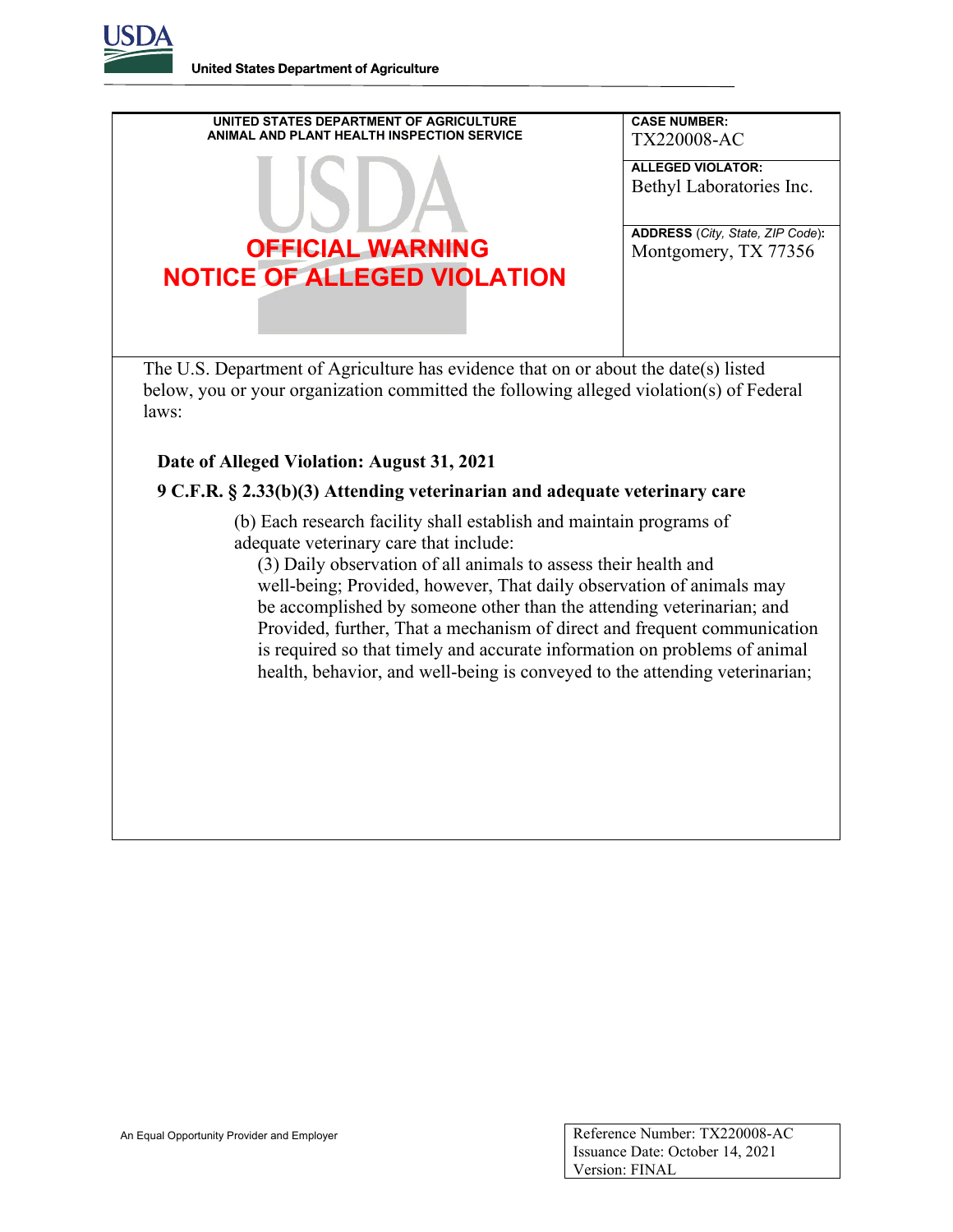**United States Department of Agriculture** 



## **Date of Alleged Violation: August 31, 2021**

## **9 C.F.R. § 2.33(b)(3) Attending veterinarian and adequate veterinary care**

(b) Each research facility shall establish and maintain programs of adequate veterinary care that include:

 (3) Daily observation of all animals to assess their health and well-being; Provided, however, That daily observation of animals may be accomplished by someone other than the attending veterinarian; and Provided, further, That a mechanism of direct and frequent communication is required so that timely and accurate information on problems of animal health, behavior, and well-being is conveyed to the attending veterinarian;